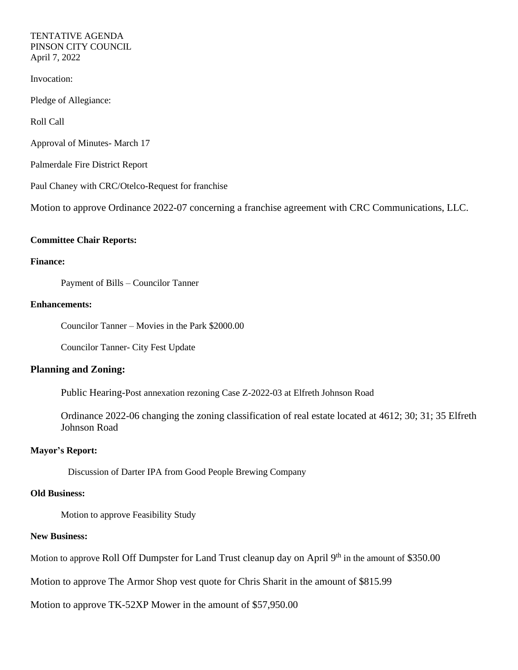### TENTATIVE AGENDA PINSON CITY COUNCIL April 7, 2022

Invocation:

Pledge of Allegiance:

Roll Call

Approval of Minutes- March 17

Palmerdale Fire District Report

Paul Chaney with CRC/Otelco-Request for franchise

Motion to approve Ordinance 2022-07 concerning a franchise agreement with CRC Communications, LLC.

#### **Committee Chair Reports:**

### **Finance:**

Payment of Bills – Councilor Tanner

### **Enhancements:**

Councilor Tanner – Movies in the Park \$2000.00

Councilor Tanner- City Fest Update

## **Planning and Zoning:**

Public Hearing-Post annexation rezoning Case Z-2022-03 at Elfreth Johnson Road

Ordinance 2022-06 changing the zoning classification of real estate located at 4612; 30; 31; 35 Elfreth Johnson Road

### **Mayor's Report:**

Discussion of Darter IPA from Good People Brewing Company

# **Old Business:**

Motion to approve Feasibility Study

## **New Business:**

Motion to approve Roll Off Dumpster for Land Trust cleanup day on April 9<sup>th</sup> in the amount of \$350.00

Motion to approve The Armor Shop vest quote for Chris Sharit in the amount of \$815.99

Motion to approve TK-52XP Mower in the amount of \$57,950.00